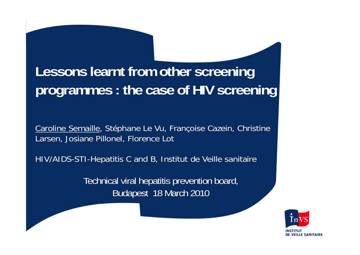# **Lessons learnt from other screening programmes : the case of HIV screening**

Caroline Semaille, Stéphane Le Vu, Françoise Cazein, Christine Larsen, Josiane Pillonel, Florence Lot

HIV/AIDS-STI-Hepatitis C and B, Institut de Veille sanitaire

Technical viral hepatitis prevention board, Budapest 18 March 2010

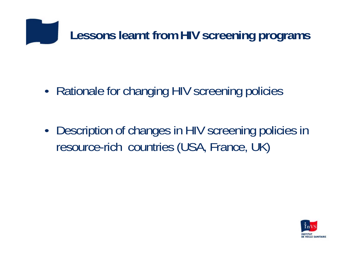

•Rationale for changing HIV screening policies

• Description of changes in HIV screening policies in resource-rich countries (USA, France, UK)

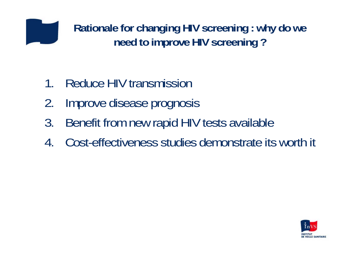

**Rationale for changing HIV screening : why do we need to improve HIV screening ?**

- 1.Reduce HIV transmission
- 2.Improve disease prognosis
- 3. Benefit from new rapid HIV tests available
- 4.Cost-effectiveness studies demonstrate its worth it

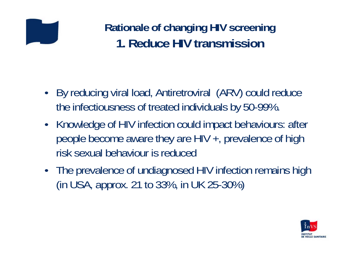### **Rationale of changing HIV screening 1. Reduce HIV transmission**

- • By reducing viral load, Antiretroviral (ARV) could reduce the infectiousness of treated individuals by 50-99%.
- Knowledge of HIV infection could impact behaviours: after people become aware they are HIV +, prevalence of high risk sexual behaviour is reduced
- The prevalence of undiagnosed HIV infection remains high (in USA, approx. 21 to 33%, in UK 25-30%)

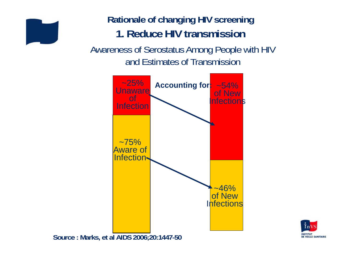

#### **Rationale of changing HIV screening 1. Reduce HIV transmission**

Awareness of Serostatus Among People with HIV and Estimates of Transmission



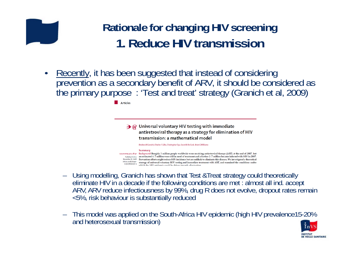#### **Rationale for changing HIV screening 1. Reduce HIV transmission**

 $\bullet$ Recently, it has been suggested that instead of considering<br>prevention as a secondary benefit of ARV, it should be considered as the primary purpose : 'Test and treat' strategy (Granich et al, 2009)

**Articles** 

 $\rightarrow \omega$  Universal voluntary HIV testing with immediate antiretroviral therapy as a strategy for elimination of HIV transmission: a mathematical model

Reuben M Granich, Charles F Gilks, Christopher Dye, Kevin M De Cock, Brian G Williams

#### Summary

Lancet 2009; 373:48-57 Background Roughly 3 million people worldwide were receiving antiretroviral therapy (ART) at the end of 2007, but Published Online an estimated 6.7 million were still in need of treatment and a further 2.7 million became infected with HIV in 2007. November 26, 2008 Prevention efforts might reduce HIV incidence but are unlikely to eliminate this disease. We investigated a theoretical DOI:10.1016/S0140strategy of universal voluntary HIV testing and immediate treatment with ART, and examined the conditions under 6736(08)61697-9 which the HIV enidemic could be driven towards elimination

- Using modelling, Granich has shown that Test &Treat strategy could theoretically eliminate HIV in a decade if the following conditions are met : almost all ind. accept ARV, ARV reduce infectiousness by 99%, drug R does not evolve, dropout rates remain <5%, risk behaviour is substantially reduced
- This model was applied on the South-Africa HIV epidemic (high HIV prevalence15-20% and heterosexual transmission)

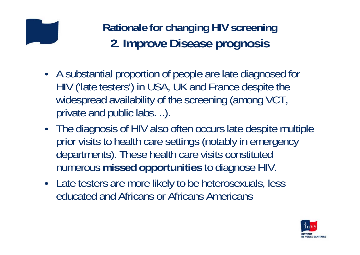**Rationale for changing HIV screening 2. Improve Disease prognosis**

- A substantial proportion of people are late diagnosed for HIV ('late testers') in USA, UK and France despite the widespread availability of the screening (among VCT, private and public labs. ..).
- The diagnosis of HIV also often occurs late despite multiple prior visits to health care settings (notably in emergency departments). These health care visits constituted numerous **missed opportunities** to diagnose HIV.
- Late testers are more likely to be heterosexuals, less educated and Africans or Africans Americans

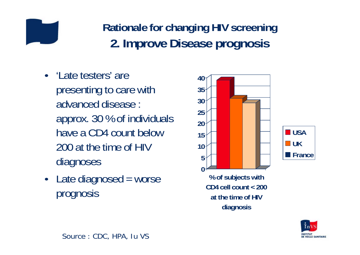

- 'Late testers' are presenting to care with advanced disease : approx. 30 % of individuals have a CD4 count below 200 at the time of HIV diagnoses
- Late diagnosed = worse prognosis





**% of subjects with CD4 cell count < 200at the time of HIVdiagnosis**

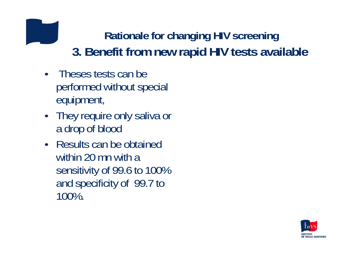## **Rationale for changing HIV screening 3. Benefit from new rapid HIV tests available**

- Theses tests can be performed without special equipment,
- They require only saliva or a drop of blood
- Results can be obtained within 20 mn with a sensitivity of 99.6 to 100% and specificity of 99.7 to 100%.

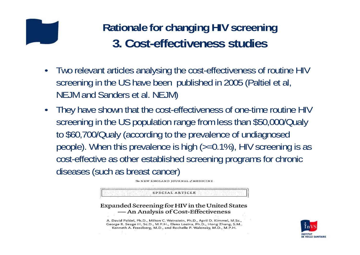#### **Rationale for changing HIV screening 3. Cost-effectiveness studies**

- • Two relevant articles analysing the cost-effectiveness of routine HIV screening in the US have been published in 2005 (Paltiel et al, NEJM and Sanders et al. NEJM)
- • They have shown that the cost-effectiveness of one-time routine HIV screening in the US population range from less than \$50,000/Qualy to \$60,700/Qualy (according to the prevalence of undiagnosed people). When this prevalence is high (>=0.1%), HIV screening is as cost-effective as other established screening programs for chronic diseases (such as breast cancer)

The NEW ENGLAND JOURNAL of MEDICINE

SPECIAL ARTICLE

Expanded Screening for HIV in the United States - An Analysis of Cost-Effectiveness



A. David Paltiel, Ph.D., Milton C. Weinstein, Ph.D., April D. Kimmel, M.Sc., George R. Seage III, Sc.D., M.P.H., Elena Losina, Ph.D., Hong Zhang, S.M., Kenneth A. Freedberg, M.D., and Rochelle P. Walensky, M.D., M.P.H.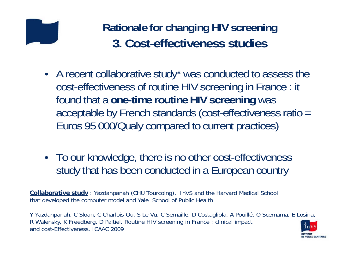

- A recent collaborative study\* was conducted to assess the cost-effectiveness of routine HIV screening in France : it found that a **one-time routine HIV screening** was acceptable by French standards (cost-effectiveness ratio = Euros 95 000/Qualy compared to current practices)
- To our knowledge, there is no other cost-effectiveness study that has been conducted in a European country

**Collaborative study** : Yazdanpanah (CHU Tourcoing), InVS and the Harvard Medical School that developed the computer model and Yale School of Public Health

Y Yazdanpanah, C Sloan, C Charlois-Ou, S Le Vu, C Semaille, D Costagliola, A Pouillé, O Scemama, E Losina, R Walensky, K Freedberg, D Paltiel. Routine HIV screening in France : clinical impact and cost-Effectiveness. ICAAC 2009

**DE VEILLE SANITAIRE**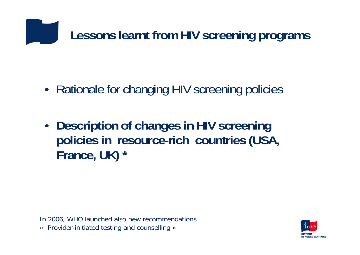

- •Rationale for changing HIV screening policies
- • **Description of changes in HIV screening policies in resource-rich countries (USA, France, UK) \***

In 2006, WHO launched also new recommendations «Provider-initiated testing and counselling »

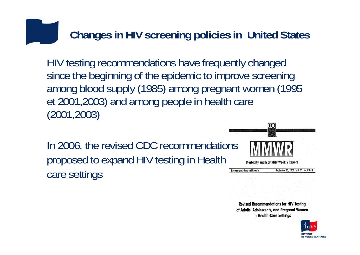#### **Changes in HIV screening policies in United States**

HIV testing recommendations have frequently changed since the beginning of the epidemic to improve screening among blood supply (1985) among pregnant women (1995 et 2001,2003) and among people in health care (2001,2003)

In 2006, the revised CDC recommendations proposed to expand HIV testing in Health care settings



**Revised Recommendations for HIV Testing** of Adults, Adolescents, and Pregnant Women in Health-Care Settings

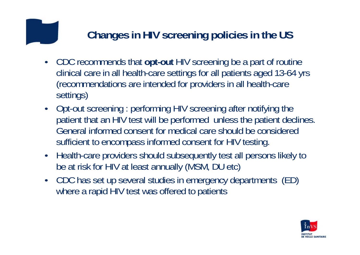#### **Changes in HIV screening policies in the US**

- CDC recommends that **opt-out** HIV screening be a part of routine clinical care in all health-care settings for all patients aged 13-64 yrs (recommendations are intended for providers in all health-care settings)
- Opt-out screening : performing HIV screening after notifying the patient that an HIV test will be performed unless the patient declines. General informed consent for medical care should be considered sufficient to encompass informed consent for HIV testing.
- Health-care providers should subsequently test all persons likely to be at risk for HIV at least annually (MSM, DU etc)
- CDC has set up several studies in emergency departments (ED) where a rapid HIV test was offered to patients

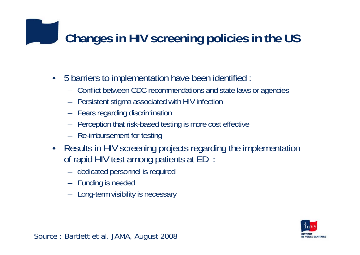## **Changes in HIV screening policies in the US**

- • 5 barriers to implementation have been identified :
	- Conflict between CDC recommendations and state laws or agencies
	- Persistent stigma associated with HIV infection
	- Fears regarding discrimination
	- Perception that risk-based testing is more cost effective
	- Re-imbursement for testing
- • Results in HIV screening projects regarding the implementation of rapid HIV test among patients at ED :
	- dedicated personnel is required
	- Funding is needed
	- Long-term visibility is necessary



Source : Bartlett et al. JAMA, August 2008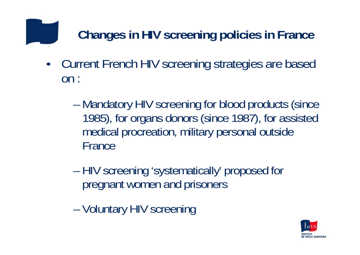## **Changes in HIV screening policies in France**

- $\bullet$  Current French HIV screening strategies are based on :
	- –- Mandatory HIV screening for blood products (since 1985), for organs donors (since 1987), for assisted medical procreation, military personal outside France
	- HIV screening 'systematically' proposed for pregnant women and prisoners
	- Voluntary HIV screening

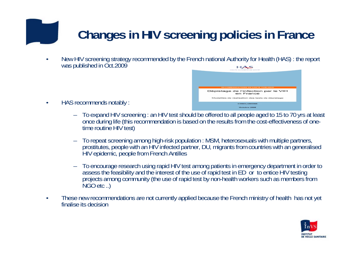## **Changes in HIV screening policies in France**

• New HIV screening strategy recommended by the French national Authority for Health (HAS) : the report was published in Oct.2009



–To expand HIV screening : an HIV test should be offered to all people aged to 15 to 70 yrs at least once during life (this recommendation is based on the results from the cost-effectiveness of one- time routine HIV test)

Dépistage de l'infection par le VIH en France

- – To repeat screening among high-risk population : MSM, heterosexuals with multiple partners, prostitutes, people with an HIV infected partner, DU, migrants from countries with an generalised HIV epidemic, people from French Antilles
- – To encourage research using rapid HIV test among patients in emergency department in order to assess the feasibility and the interest of the use of rapid test in ED or to entice HIV testing<br>projects among community (the use of rapid test by non-health workers such as members from<br>NGO etc ..)
- • These new recommendations are not currently applied because the French ministry of health has not yet finalise its decision

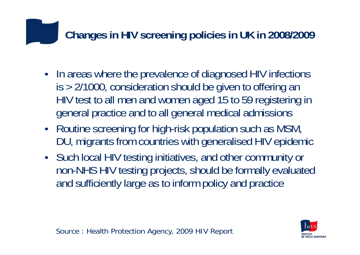### **Changes in HIV screening policies in UK in 2008/2009**

- In areas where the prevalence of diagnosed HIV infections is > 2/1000, consideration should be given to offering an HIV test to all men and women aged 15 to 59 registering in general practice and to all general medical admissions
- Routine screening for high-risk population such as MSM, DU, migrants from countries with generalised HIV epidemic
- Such local HIV testing initiatives, and other community or non-NHS HIV testing projects, should be formally evaluated and sufficiently large as to inform policy and practice



Source : Health Protection Agency, 2009 HIV Report